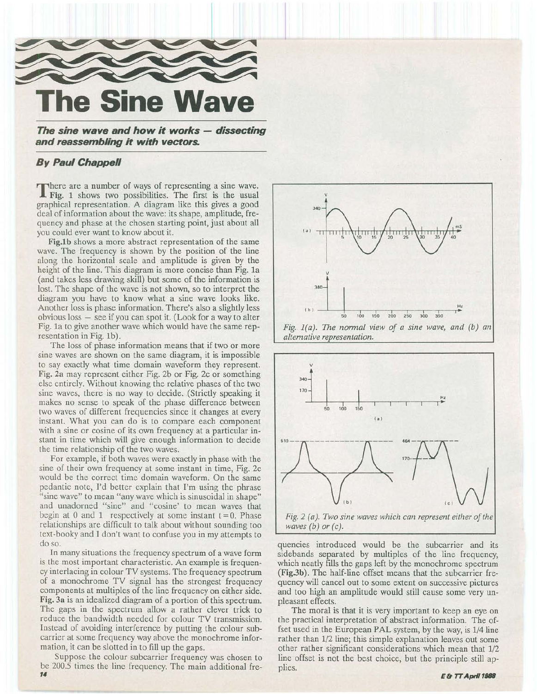

**The sine wave and how it works - dissecting and reassembling it with vectors.** 

## *By* **Paul Chappell**

There are a number of ways of representing a sine wave. **If** Fig. 1 shows two possibilities. The first is the usual graphical representation. A diagram like this gives a good deal of information about the wave: its shape, amplitude, frequency and phase at the chosen starting point, just about all you could ever want to know about it.

Fig.lb shows a more abstract representation of the same wave. The frequency is shown by the position of the line along the horizontal scale and amplitude is given by the height of the line. This diagram is more concise than Fig. 1a (and takes less drawing skill) but some of the information is lost. The shape of the wave is not shown, so to interpret the diagram you have to know what a sine wave looks like. Another loss is phase information. There's also a slightly less  $obvious loss – see if you can spot it. (Look for a way to alter)$ Fig. 1a to give another wave which would have the same representation in Fig. 1b).

The loss of phase information means that if two or more sine waves are shown on the same diagram, it is impossible to say exactly what time domain waveform they represent. Fig. 2a may represent either Fig. 2b or Fig. 2c or something else entirely. Without knowing the relative phases of the two sine waves, there is no way to decide. (Strictly speaking it makes no sense to speak of the phase difference between two waves of different frequencies since it changes at every instant. What you can do is to compare each component with a sine or cosine of its own frequency at a particular instant in time which will give enough information to decide the time relationship of the two waves.

For example, if both waves were exactly in phase with the sine of their own frequency at some instant in time, Fig. 2c would be the correct time domain waveform. On the same pedantic note, I'd better explain that I'm using the phrase "sine wave" to mean "any wave which is sinusoidal in shape" and unadorned "sine" and "cosine' to mean waves that begin at 0 and 1 respectively at some instant  $t = 0$ . Phase relationships are difficult to talk about without sounding too text-booky and I don't want to confuse you in my attempts to do so.

In many situations the frequency spectrum of a wave form is the most important characteristic. An example is frequency interlacing in colour TV systems. The frequency spectrum of a monochrome TV signal has the strongest frequency components at multiples of the line frequency on either side. Fig. 3a is an idealized diagram of a portion of this spectrum. The gaps in the spectrum allow a rather clever trick to reduce the bandwidth needed for colour TV transmission. Instead of avoiding interference by putting the colour subcarrier at some frequency way above the monochrome information, it can be slotted in to fill up the gaps.

Suppose the colour subcarrier frequency was chosen to be 200.5 times the line frequency. The main additional fre- *14* 





quencies introduced would be the subcarrier and its sidebands separated by multiples of the line frequency, which neatly fills the gaps left by the monochrome spectrum (Fig3b). The half-line offset means that the subcarrier frequency will cancel out to some extent on successive pictures and too high an amplitude would still cause some very unpleasant effects.

The moral is that it is very important to keep an eye on the practical interpretation of abstract information. The offset used in the European PAL system, by the way, is 1/4 line rather than 1/2 line; this simple explanation leaves out some other rather significant considerations which mean that 1/2 line offset is not the best choice, but the principle still applies.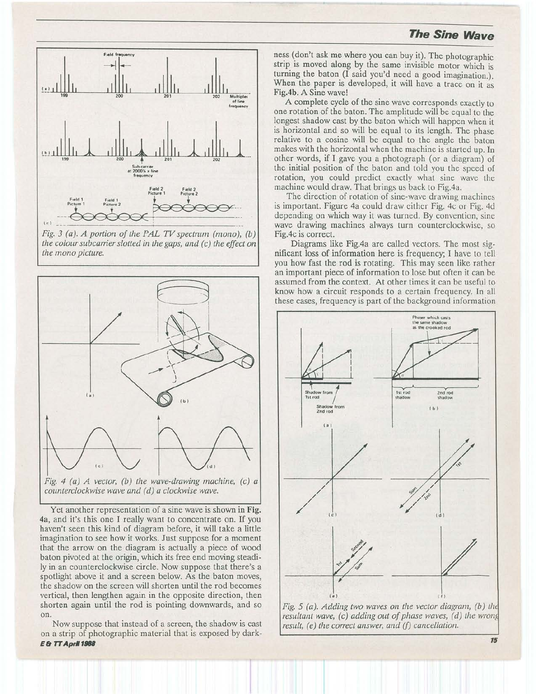## **The Sine Wave**



*Fig. 3 (a). A portion of the PAL TV spectnun (mono), (b) the colour subcarrier slotted in the gaps, and (c) the effect on the mono picture.* 



Yet another representation of a sine wave is shown in **Fig. 4a,** and it's this one I really want to concentrate on. If you haven't seen this kind of diagram before, it will take a little imagination to see how it works. Just suppose for a moment that the arrow on the diagram is actually a piece of wood baton pivoted at the origin, which its free end moving steadily in an counterclockwise circle. Now suppose that there's a spotlight above it and a screen below. As the baton moves, the shadow on the screen will shorten until the rod becomes vertical, then lengthen again in the opposite direction, then shorten again until the rod is pointing downwards, and so on.

Now suppose that instead of a screen, the shadow is cast on a strip of photographic material that is exposed by dark-**E & TT Apd 1188** 

ness (don't ask me where you can buy it). The photographic strip is moved along by the same invisible motor which is turning the baton (I said you'd need a good imagination.). When the paper is developed, it will have a trace on it as **Fig.4b.** A Sine wave!

A complete cycle of the sine wave corresponds exactly to one rotation of the baton. The amplitude will be equal to the longest shadow cast by the baton which will happen when it is horizontal and so will be equal to its length. The phase relative to a cosine will be equal to the angle the baton makes with the horizontal when the machine is started up. 1n other words, if I gave you a photograph (or a diagram) of the initial position of the baton and told you the speed of rotation, you could predict exactly what sine wave the machine would draw. That brings us back to Fig.4a.

The direction of rotation of sine-wave drawing machines is important. Figure 4a could draw either Fig. 4c or Fig. 4d depending on which way it was turned. By convention, sine wave drawing machines always turn counterclockwise, so Fig.4c is correct.

Diagrams like Fig.4a are called vectors. The most significant loss of information here is frequency; I have to tell you how fast the rod is rotating. This may seen like rather an important piece of information to lose but often it can be assumed from the context. At other times it can be useful to know how a circuit responds to a certain frequency. In all these cases, frequency is part of the background information





**15**